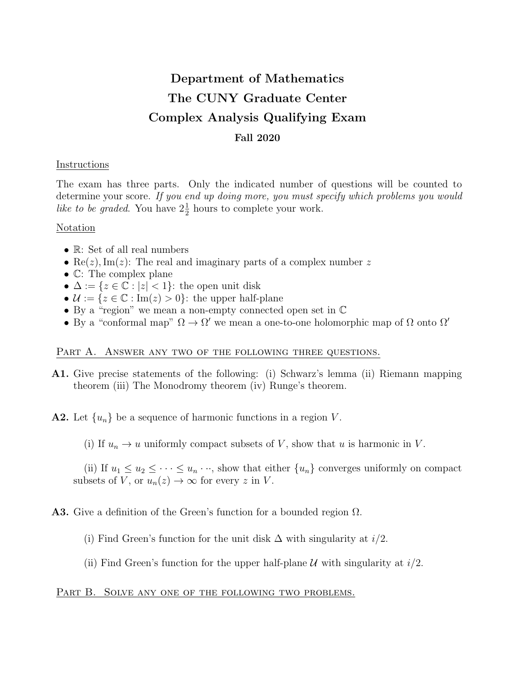# Department of Mathematics The CUNY Graduate Center Complex Analysis Qualifying Exam Fall 2020

#### Instructions

The exam has three parts. Only the indicated number of questions will be counted to determine your score. If you end up doing more, you must specify which problems you would like to be graded. You have  $2\frac{1}{2}$  hours to complete your work.

#### Notation

- R: Set of all real numbers
- Re(z), Im(z): The real and imaginary parts of a complex number z
- C: The complex plane
- $\Delta := \{z \in \mathbb{C} : |z| < 1\}$ : the open unit disk
- $\mathcal{U} := \{z \in \mathbb{C} : \text{Im}(z) > 0\}$ : the upper half-plane
- By a "region" we mean a non-empty connected open set in C
- By a "conformal map"  $\Omega \to \Omega'$  we mean a one-to-one holomorphic map of  $\Omega$  onto  $\Omega'$

# PART A. ANSWER ANY TWO OF THE FOLLOWING THREE QUESTIONS.

A1. Give precise statements of the following: (i) Schwarz's lemma (ii) Riemann mapping theorem (iii) The Monodromy theorem (iv) Runge's theorem.

**A2.** Let  $\{u_n\}$  be a sequence of harmonic functions in a region V.

(i) If  $u_n \to u$  uniformly compact subsets of V, show that u is harmonic in V.

(ii) If  $u_1 \leq u_2 \leq \cdots \leq u_n \cdots$ , show that either  $\{u_n\}$  converges uniformly on compact subsets of V, or  $u_n(z) \to \infty$  for every z in V.

# **A3.** Give a definition of the Green's function for a bounded region  $\Omega$ .

(i) Find Green's function for the unit disk  $\Delta$  with singularity at  $i/2$ .

(ii) Find Green's function for the upper half-plane  $\mathcal U$  with singularity at  $i/2$ .

# PART B. SOLVE ANY ONE OF THE FOLLOWING TWO PROBLEMS.